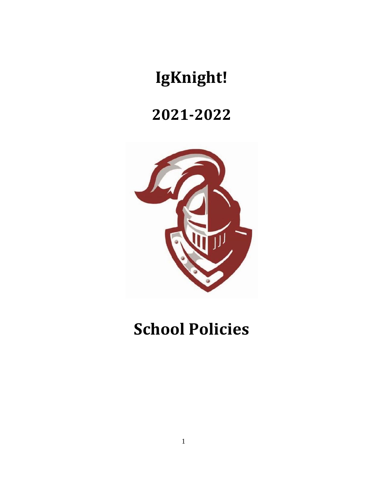# **IgKnight!**

# **2021-2022**



# **School Policies**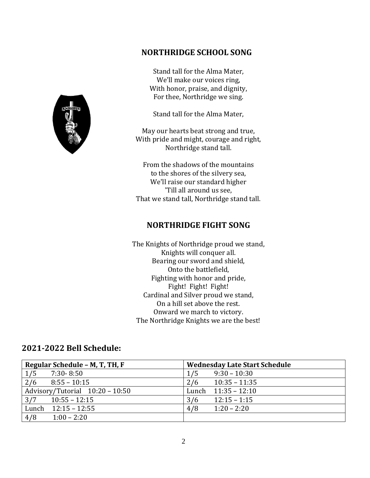

# **NORTHRIDGE SCHOOL SONG**

Stand tall for the Alma Mater, We'll make our voices ring, With honor, praise, and dignity, For thee, Northridge we sing.

Stand tall for the Alma Mater,

May our hearts beat strong and true, With pride and might, courage and right, Northridge stand tall.

From the shadows of the mountains to the shores of the silvery sea, We'll raise our standard higher 'Till all around us see, That we stand tall, Northridge stand tall.

# **NORTHRIDGE FIGHT SONG**

The Knights of Northridge proud we stand, Knights will conquer all. Bearing our sword and shield, Onto the battlefield, Fighting with honor and pride, Fight! Fight! Fight! Cardinal and Silver proud we stand, On a hill set above the rest. Onward we march to victory. The Northridge Knights we are the best!

# **2021-2022 Bell Schedule:**

| Regular Schedule - M, T, TH, F  | <b>Wednesday Late Start Schedule</b> |  |  |  |  |  |
|---------------------------------|--------------------------------------|--|--|--|--|--|
| 1/5<br>$7:30 - 8:50$            | $9:30 - 10:30$<br>1/5                |  |  |  |  |  |
| 2/6<br>$8:55 - 10:15$           | $10:35 - 11:35$<br>2/6               |  |  |  |  |  |
| Advisory/Tutorial 10:20 - 10:50 | $11:35 - 12:10$<br>Lunch             |  |  |  |  |  |
| $10:55 - 12:15$<br>3/7          | $12:15 - 1:15$<br>3/6                |  |  |  |  |  |
| Lunch $12:15 - 12:55$           | 4/8<br>$1:20 - 2:20$                 |  |  |  |  |  |
| 4/8<br>$1:00 - 2:20$            |                                      |  |  |  |  |  |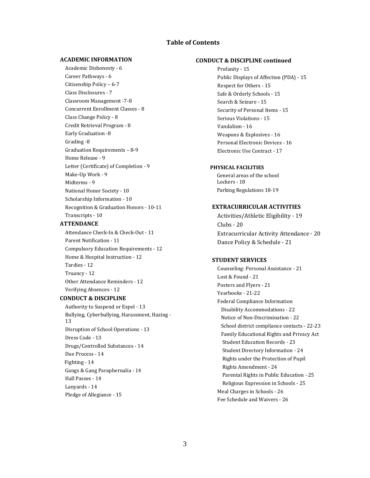# **Table of Contents**

# **ACADEMIC INFORMATION**

Academic Dishonesty - 6 Career Pathways - 6 Citizenship Policy – 6-7 Class Disclosures - 7 Classroom Management -7-8 Concurrent Enrollment Classes - 8 Class Change Policy - 8 Credit Retrieval Program - 8 Early Graduation -8 Grading -8 Graduation Requirements – 8-9 Home Release - 9 Letter (Certificate) of Completion - 9 Make-Up Work - 9 Midterms - 9 National Honor Society - 10 Scholarship Information - 10 Recognition & Graduation Honors - 10-11 Transcripts - 10

## **ATTENDANCE**

Attendance Check-In & Check-Out - 11 Parent Notification - 11 Compulsory Education Requirements - 12 Home & Hospital Instruction - 12 Tardies - 12 Truancy - 12 Other Attendance Reminders - 12 Verifying Absences - 12

# **CONDUCT & DISCIPLINE**

Authority to Suspend or Expel - 13 Bullying, Cyberbullying, Harassment, Hazing - 13 Disruption of School Operations - 13 Dress Code - 13 Drugs/Controlled Substances - 14 Due Process - 14 Fighting - 14 Gangs & Gang Paraphernalia - 14 Hall Passes - 14 Lanyards - 14 Pledge of Allegiance - 15

## **CONDUCT & DISCIPLINE continued**

Profanity - 15 Public Displays of Affection (PDA) - 15 Respect for Others - 15 Safe & Orderly Schools - 15 Search & Seizure - 15 Security of Personal Items - 15 Serious Violations - 15 Vandalism - 16 Weapons & Explosives - 16 Personal Electronic Devices - 16 Electronic Use Contract - 17

### **PHYSICAL FACILITIES**

 General areas of the school Lockers - 18 Parking Regulations 18-19

## **EXTRACURRICULAR ACTIVITIES**

Activities/Athletic Eligibility - 19 Clubs - 20 Extracurricular Activity Attendance - 20 Dance Policy & Schedule - 21

# **STUDENT SERVICES**

Counseling: Personal Assistance - 21 Lost & Found - 21 Posters and Flyers - 21 Yearbooks - 21-22 Federal Compliance Information Disability Accommodations - 22 Notice of Non-Discrimination - 22 School district compliance contacts - 22-23 Family Educational Rights and Privacy Act Student Education Records - 23 Student Directory Information - 24 Rights under the Protection of Pupil Rights Amendment - 24 Parental Rights in Public Education - 25 Religious Expression in Schools - 25 Meal Charges in Schools - 26 Fee Schedule and Waivers - 26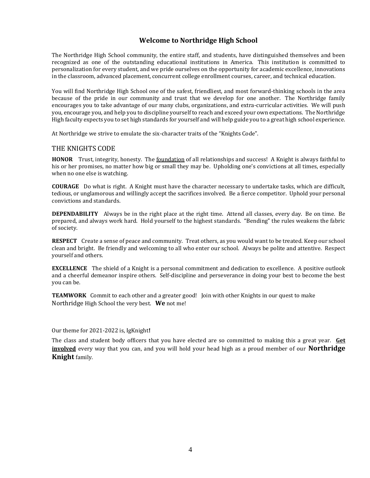# **Welcome to Northridge High School**

The Northridge High School community, the entire staff, and students, have distinguished themselves and been recognized as one of the outstanding educational institutions in America. This institution is committed to personalization for every student, and we pride ourselves on the opportunity for academic excellence, innovations in the classroom, advanced placement, concurrent college enrollment courses, career, and technical education.

You will find Northridge High School one of the safest, friendliest, and most forward-thinking schools in the area because of the pride in our community and trust that we develop for one another. The Northridge family encourages you to take advantage of our many clubs, organizations, and extra-curricular activities. We will push you, encourage you, and help you to discipline yourself to reach and exceed your own expectations. The Northridge High faculty expects you to set high standards for yourself and will help guide you to a great high school experience.

At Northridge we strive to emulate the six-character traits of the "Knights Code".

# THE KNIGHTS CODE

**HONOR** Trust, integrity, honesty. The foundation of all relationships and success! A Knight is always faithful to his or her promises, no matter how big or small they may be. Upholding one's convictions at all times, especially when no one else is watching.

**COURAGE** Do what is right. A Knight must have the character necessary to undertake tasks, which are difficult, tedious, or unglamorous and willingly accept the sacrifices involved. Be a fierce competitor. Uphold your personal convictions and standards.

**DEPENDABILITY** Always be in the right place at the right time. Attend all classes, every day. Be on time. Be prepared, and always work hard. Hold yourself to the highest standards. "Bending" the rules weakens the fabric of society.

**RESPECT** Create a sense of peace and community. Treat others, as you would want to be treated. Keep our school clean and bright. Be friendly and welcoming to all who enter our school. Always be polite and attentive. Respect yourself and others.

**EXCELLENCE** The shield of a Knight is a personal commitment and dedication to excellence. A positive outlook and a cheerful demeanor inspire others. Self-discipline and perseverance in doing your best to become the best you can be.

**TEAMWORK** Commit to each other and a greater good! Join with other Knights in our quest to make Northridge High School the very best. **We** not me!

Our theme for 2021-2022 is, IgKnight**!**

The class and student body officers that you have elected are so committed to making this a great year. **Get involved** every way that you can, and you will hold your head high as a proud member of our **Northridge Knight** family.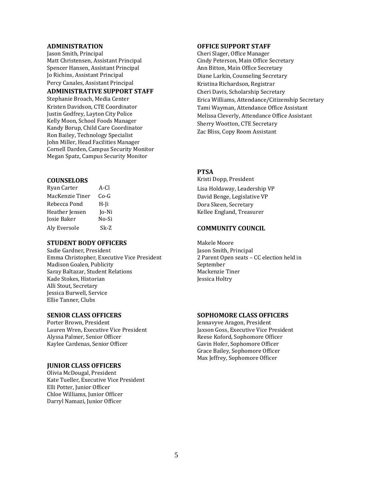Jason Smith, Principal Cheri Slager, Office Manager Matt Christensen, Assistant Principal Cindy Peterson, Main Office Secretary Spencer Hansen, Assistant Principal Ann Bitton, Main Office Secretary Jo Richins, Assistant Principal **Diane Larkin, Counseling Secretary** Percy Canales, Assistant Principal Theorem 2011 Richardson, Registrar **ADMINISTRATIVE SUPPORT STAFF Cheri Davis, Scholarship Secretary** 

Kristen Davidson, CTE Coordinator Justin Godfrey, Layton City Police Kelly Moon, School Foods Manager Kandy Borup, Child Care Coordinator Ron Bailey, Technology Specialist John Miller, Head Facilities Manager Cornell Darden, Campus Security Monitor Megan Spatz, Campus Security Monitor

| Ryan Carter     | A-Cl  |
|-----------------|-------|
| MacKenzie Tiner | Co-G  |
| Rebecca Pond    | H-Ii  |
| Heather Jensen  | Jo-Ni |
| Josie Baker     | No-Si |
| Aly Eversole    | Sk-Z  |

# **STUDENT BODY OFFICERS** Makele Moore

Sadie Gardner, President Jason Smith, Principal Emma Christopher, Executive Vice President Madison Goalen, Publicity Saray Baltazar, Student Relations Mackenzie Tiner Kade Stokes, Historian Jessica Holtry Alli Stout, Secretary Jessica Burwell, Service Ellie Tanner, Clubs

Porter Brown, President **Jennavyve Aragon, President** Lauren Wren, Executive Vice President Jaxson Goss, Executive Vice President Alyssa Palmer, Senior Officer **Reese Koford, Sophomore Officer** Reese Koford, Sophomore Officer Kaylee Cardenas, Senior Officer Gavin Hofer, Sophomore Officer

# **JUNIOR CLASS OFFICERS**

Olivia McDougal, President Kate Tueller, Executive Vice President Elli Potter, Junior Officer Chloe Williams, Junior Officer Darryl Namazi, Junior Officer

# **ADMINISTRATION OFFICE SUPPORT STAFF**

Stephanie Broach, Media Center **Erica Williams, Attendance/Citizenship Secretary** Tami Wayman, Attendance Office Assistant Melissa Cleverly, Attendance Office Assistant Sherry Wootton, CTE Secretary Zac Bliss, Copy Room Assistant

# **PTSA**

**COUNSELORS** Kristi Dopp, President Lisa Holdaway, Leadership VP David Benge, Legislative VP Dora Skeen, Secretary Kellee England, Treasurer

# Aly Eversole Sk-Z **COMMUNITY COUNCIL**

2 Parent Open seats – CC election held in September

# **SENIOR CLASS OFFICERS SOPHOMORE CLASS OFFICERS**

Grace Bailey, Sophomore Officer Max Jeffrey, Sophomore Officer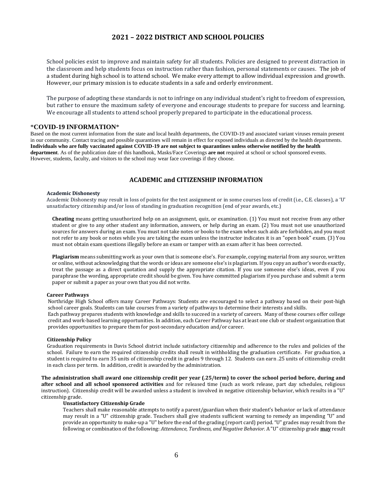# **2021 – 2022 DISTRICT AND SCHOOL POLICIES**

School policies exist to improve and maintain safety for all students. Policies are designed to prevent distraction in the classroom and help students focus on instruction rather than fashion, personal statements or causes. The job of a student during high school is to attend school. We make every attempt to allow individual expression and growth. However, our primary mission is to educate students in a safe and orderly environment.

The purpose of adopting these standards is not to infringe on any individual student's right to freedom of expression, but rather to ensure the maximum safety of everyone and encourage students to prepare for success and learning. We encourage all students to attend school properly prepared to participate in the educational process.

# \***COVID-19 INFORMATION**\*

Based on the most current information from the state and local health departments, the COVID-19 and associated variant viruses remain present in our community. Contact tracing and possible quarantines will remain in effect for exposed individuals as directed by the health departments. **Individuals who are fully vaccinated against COVID-19 are not subject to quarantines unless otherwise notified by the health department**. As of the publication date of this handbook, Masks/Face Coverings **are not** required at school or school sponsored events. However, students, faculty, and visitors to the school may wear face coverings if they choose.

# **ACADEMIC and CITIZENSHIP INFORMATION**

#### **Academic Dishonesty**

Academic Dishonesty may result in loss of points for the test assignment or in some courses loss of credit (i.e., C.E. classes), a 'U' unsatisfactory citizenship and/or loss of standing in graduation recognition (end of year awards, etc.)

**Cheating** means getting unauthorized help on an assignment, quiz, or examination. (1) You must not receive from any other student or give to any other student any information, answers, or help during an exam. (2) You must not use unauthorized sources for answers during an exam. You must not take notes or books to the exam when such aids are forbidden, and you must not refer to any book or notes while you are taking the exam unless the instructor indicates it is an "open book" exam. (3) You must not obtain exam questions illegally before an exam or tamper with an exam after it has been corrected.

**Plagiarism** means submitting work as your own that is someone else's. For example, copying material from any source, written or online, without acknowledging that the words or ideas are someone else's is plagiarism. If you copy an author's words exactly, treat the passage as a direct quotation and supply the appropriate citation. If you use someone else's ideas, even if you paraphrase the wording, appropriate credit should be given. You have committed plagiarism if you purchase and submit a term paper or submit a paper as your own that you did not write.

## **Career Pathways**

Northridge High School offers many Career Pathways: Students are encouraged to select a pathway based on their post-high school career goals. Students can take courses from a variety of pathways to determine their interests and skills. Each pathway prepares students with knowledge and skills to succeed in a variety of careers. Many of these courses offer college credit and work-based learning opportunities. In addition, each Career Pathway has at least one club or student organization that provides opportunities to prepare them for post-secondary education and/or career.

#### **Citizenship Policy**

Graduation requirements in Davis School district include satisfactory citizenship and adherence to the rules and policies of the school. Failure to earn the required citizenship credits shall result in withholding the graduation certificate. For graduation, a student is required to earn 35 units of citizenship credit in grades 9 through 12. Students can earn .25 units of citizenship credit in each class per term. In addition, credit is awarded by the administration.

**The administration shall award one citizenship credit per year (.25/term) to cover the school period before, during and after school and all school sponsored activities** and for released time (such as work release, part day schedules, religious instruction). Citizenship credit will be awarded unless a student is involved in negative citizenship behavior, which results in a "U" citizenship grade.

### **Unsatisfactory Citizenship Grade**

Teachers shall make reasonable attempts to notify a parent/guardian when their student's behavior or lack of attendance may result in a "U" citizenship grade. Teachers shall give students sufficient warning to remedy an impending "U" and provide an opportunity to make-up a "U" before the end of the grading (report card) period. "U" grades may result from the following or combination of the following: *Attendance, Tardiness, and Negative Behavior.* A "U" citizenship grade **may** result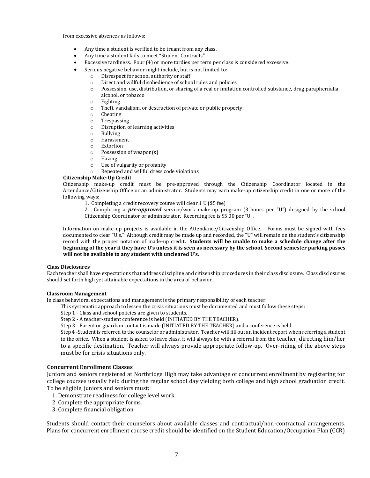from excessive absences as follows:

- Any time a student is verified to be truant from any class.
- Any time a student fails to meet "Student Contracts"
- Excessive tardiness. Four (4) or more tardies per term per class is considered excessive.
- Serious negative behavior might include, but is not limited to:
	- o Disrespect for school authority or staff
	- o Direct and willful disobedience of school rules and policies
	- o Possession, use, distribution, or sharing of a real or imitation controlled substance, drug paraphernalia, alcohol, or tobacco
	- o Fighting
	- o Theft, vandalism, or destruction of private or public property
	- o Cheating
	- o Trespassing
	- o Disruption of learning activities
	- o Bullying
	- o Harassment
	- o Extortion
	- o Possession of weapon(s)
	- o Hazing
	- o Use of vulgarity or profanity
	- o Repeated and willful dress code violations

# **Citizenship Make-Up Credit**

Citizenship make-up credit must be pre-approved through the Citizenship Coordinator located in the Attendance/Citizenship Office or an administrator. Students may earn make-up citizenship credit in one or more of the following ways:

- 1. Completing a credit recovery course will clear 1 U (\$5 fee)
- 2. Completing a *pre-approved* service/work make-up program (3-hours per "U") designed by the school Citizenship Coordinator or administrator. Recording fee is \$5.00 per "U".

Information on make-up projects is available in the Attendance/Citizenship Office. Forms must be signed with fees documented to clear "U's." Although credit may be made up and recorded, the "U" will remain on the student's citizenship record with the proper notation of made-up credit**. Students will be unable to make a schedule change after the beginning of the year if they have U's unless it is seen as necessary by the school. Second semester parking passes will not be available to any student with uncleared U's.** 

#### **Class Disclosures**

Each teacher shall have expectations that address discipline and citizenship procedures in their class disclosure. Class disclosures should set forth high yet attainable expectations in the area of behavior.

#### **Classroom Management**

In class behavioral expectations and management is the primary responsibility of each teacher.

- This systematic approach to lessen the crisis situations must be documented and must follow these steps:
- Step 1 Class and school policies are given to students.

Step 2 - A teacher-student conference is held (INITIATED BY THE TEACHER).

Step 3 - Parent or guardian contact is made (INITIATED BY THE TEACHER) and a conference is held.

Step 4 -Student is referred to the counselor or administrator. Teacher will fill out an incident report when referring a student to the office. When a student is asked to leave class, it will always be with a referral from the teacher, directing him/her to a specific destination. Teacher will always provide appropriate follow-up. Over-riding of the above steps must be for crisis situations only.

# **Concurrent Enrollment Classes**

Juniors and seniors registered at Northridge High may take advantage of concurrent enrollment by registering for college courses usually held during the regular school day yielding both college and high school graduation credit. To be eligible, juniors and seniors must:

- 1. Demonstrate readiness for college level work.
- 2. Complete the appropriate forms.
- 3. Complete financial obligation.

Students should contact their counselors about available classes and contractual/non-contractual arrangements. Plans for concurrent enrollment course credit should be identified on the Student Education/Occupation Plan (CCR)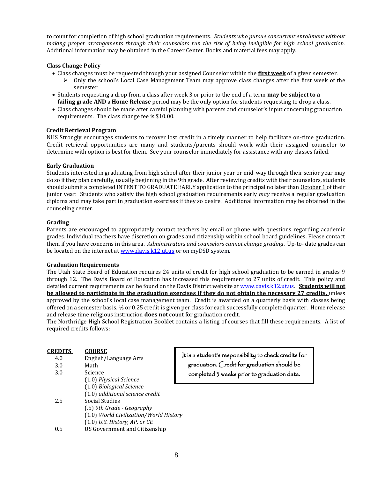to count for completion of high school graduation requirements. *Students who pursue concurrent enrollment without making proper arrangements through their counselors run the risk of being ineligible for high school graduation.* Additional information may be obtained in the Career Center. Books and material fees may apply.

# **Class Change Policy**

- Class changes must be requested through your assigned Counselor within the **first week** of a given semester.
	- $\triangleright$  Only the school's Local Case Management Team may approve class changes after the first week of the semester
- Students requesting a drop from a class after week 3 or prior to the end of a term **may be subject to a failing grade AND** a **Home Release** period may be the only option for students requesting to drop a class.
- Class changes should be made after careful planning with parents and counselor's input concerning graduation requirements. The class change fee is \$10.00.

# **Credit Retrieval Program**

NHS Strongly encourages students to recover lost credit in a timely manner to help facilitate on-time graduation. Credit retrieval opportunities are many and students/parents should work with their assigned counselor to determine with option is best for them. See your counselor immediately for assistance with any classes failed.

# **Early Graduation**

Students interested in graduating from high school after their junior year or mid-way through their senior year may do so if they plan carefully, usually beginning in the 9th grade. After reviewing credits with their counselors, students should submit a completed INTENT TO GRADUATE EARLY application to the principal no later than October 1 of their junior year. Students who satisfy the high school graduation requirements early *may* receive a regular graduation diploma and may take part in graduation exercises if they so desire. Additional information may be obtained in the counseling center.

# **Grading**

Parents are encouraged to appropriately contact teachers by email or phone with questions regarding academic grades. Individual teachers have discretion on grades and citizenship within school board guidelines. Please contact them if you have concerns in this area. *Administrators and counselors cannot change grading*. Up-to- date grades can be located on the internet a[t www.davis.k12.ut.us](http://www.davis.k12.ut.us/) or on myDSD system.

# **Graduation Requirements**

The Utah State Board of Education requires 24 units of credit for high school graduation to be earned in grades 9 through 12. The Davis Board of Education has increased this requirement to 27 units of credit. This policy and detailed current requirements can be found on the Davis District website at [www.davis.k12.ut.us.](http://www.davis.k12.ut.us/) **Students will not be allowed to participate in the graduation exercises if they do not obtain the necessary 27 credits,** unless approved by the school's local case management team. Credit is awarded on a quarterly basis with classes being offered on a semester basis. ¼ or 0.25 credit is given per class for each successfully completed quarter. Home release and release time religious instruction **does not** count for graduation credit.

The Northridge High School Registration Booklet contains a listing of courses that fill these requirements. A list of required credits follows:

| <b>CREDITS</b><br>4.0 | <b>COURSE</b><br>English/Language Arts | t is a student's |
|-----------------------|----------------------------------------|------------------|
| 3.0                   | Math                                   | graduation. (    |
| 3.0                   | Science                                | completed 3      |
|                       | (1.0) Physical Science                 |                  |
|                       | (1.0) Biological Science               |                  |
|                       | (1.0) additional science credit        |                  |
| 2.5                   | Social Studies                         |                  |
|                       | (.5) 9th Grade - Geography             |                  |
|                       | (1.0) World Civilization/World History |                  |
|                       | $(1.0)$ U.S. History, AP, or CE        |                  |
| 0.5                   | <b>US Government and Citizenship</b>   |                  |

responsibility to check credits for  $\bigcirc$ redit for graduation should be weeks prior to graduation date.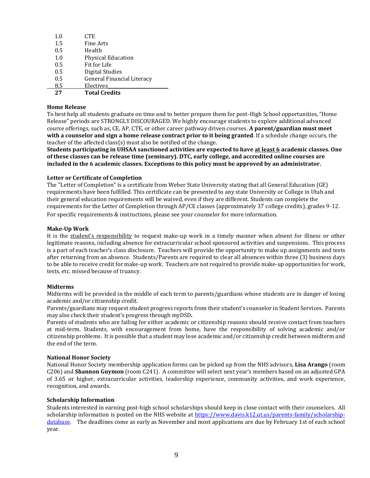| 1.0 | <b>CTE</b>                        |
|-----|-----------------------------------|
| 1.5 | Fine Arts                         |
| 0.5 | Health                            |
| 1.0 | <b>Physical Education</b>         |
| 0.5 | Fit for Life                      |
| 0.5 | Digital Studies                   |
| 0.5 | <b>General Financial Literacy</b> |
| 8.5 | Electives                         |
| 27  | <b>Total Credits</b>              |

# **Home Release**

To best help all students graduate on time and to better prepare them for post-High School opportunities, "Home Release" periods are STRONGLY DISCOURAGED. We highly encourage students to explore additional advanced course offerings, such as, CE, AP, CTE, or other career pathway driven courses. **A parent/guardian must meet with a counselor and sign a home release contract prior to it being granted**. If a schedule change occurs, the teacher of the affected class(s) must also be notified of the change.

**Students participating in UHSAA sanctioned activities are expected to have at least 6 academic classes. One of these classes can be release time (seminary). DTC, early college, and accredited online courses are included in the 6 academic classes. Exceptions to this policy must be approved by an administrator.**

# **Letter or Certificate of Completion**

The "Letter of Completion" is a certificate from Weber State University stating that all General Education (GE) requirements have been fulfilled. This certificate can be presented to any state University or College in Utah and their general education requirements will be waived, even if they are different. Students can complete the requirements for the Letter of Completion through AP/CE classes (approximately 37 college credits), grades 9-12. For specific requirements & instructions, please see your counselor for more information.

# **Make-Up Work**

It is the student's responsibility to request make-up work in a timely manner when absent for illness or other legitimate reasons, including absence for extracurricular school sponsored activities and suspensions. This process is a part of each teacher's class disclosure. Teachers will provide the opportunity to make up assignments and tests after returning from an absence. Students/Parents are required to clear all absences within three (3) business days to be able to receive credit for make-up work. Teachers are not required to provide make-up opportunities for work, tests, etc. missed because of truancy.

# **Midterms**

Midterms will be provided in the middle of each term to parents/guardians whose students are in danger of losing academic and/or citizenship credit.

Parents/guardians may request student progress reports from their student's counselor in Student Services. Parents may also check their student's progress through myDSD**.**

Parents of students who are failing for either academic or citizenship reasons should receive contact from teachers at mid-term. Students, with encouragement from home, have the responsibility of solving academic and/or citizenship problems. It is possible that a student may lose academic and/or citizenship credit between midterm and the end of the term.

# **National Honor Society**

National Honor Society membership application forms can be picked up from the NHS advisors, **Lisa Arango** (room C206) and **Shannon Guymon** (room C241). A committee will select next year's members based on an adjusted GPA of 3.65 or higher, extracurricular activities, leadership experience, community activities, and work experience, recognition, and awards.

# **Scholarship Information**

Students interested in earning post-high school scholarships should keep in close contact with their counselors. All scholarship information is posted on the NHS website at [https://www.davis.k12.ut.us/parents-family/scholarship](https://www.davis.k12.ut.us/parents-family/scholarship-database)[database.](https://www.davis.k12.ut.us/parents-family/scholarship-database) The deadlines come as early as November and most applications are due by February 1st of each school year.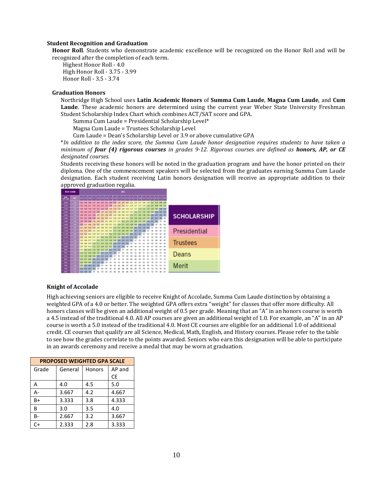# **Student Recognition and Graduation**

**Honor Roll**. Students who demonstrate academic excellence will be recognized on the Honor Roll and will be recognized after the completion of each term.

Highest Honor Roll - 4.0 High Honor Roll - 3.75 - 3.99 Honor Roll - 3.5 - 3.74

# **Graduation Honors**

Northridge High School uses **Latin Academic Honors** of **Summa Cum Laude**, **Magna Cum Laude**, and **Cum Laude**. These academic honors are determined using the current year Weber State University Freshman Student Scholarship Index Chart which combines ACT/SAT score and GPA.

Summa Cum Laude = Presidential Scholarship Level\*

Magna Cum Laude = Trustees Scholarship Level

Cum Laude = Dean's Scholarship Level or 3.9 or above cumulative GPA

\**In addition to the index score, the Summa Cum Laude honor designation requires students to have taken a minimum of four (4) rigorous courses in grades 9-12. Rigorous courses are defined as honors, AP, or CE designated courses.*

Students receiving these honors will be noted in the graduation program and have the honor printed on their diploma. One of the commencement speakers will be selected from the graduates earning Summa Cum Laude designation. Each student receiving Latin honors designation will receive an appropriate addition to their approved graduation regalia.

| <b>TEST SCORE</b> |                 |                    |             |                            |     |            |                                 |                                                                     |     |     | <b>GPA</b> |         |     |      |        |                  |                                                                         |     |          |                                                                                     |                    |
|-------------------|-----------------|--------------------|-------------|----------------------------|-----|------------|---------------------------------|---------------------------------------------------------------------|-----|-----|------------|---------|-----|------|--------|------------------|-------------------------------------------------------------------------|-----|----------|-------------------------------------------------------------------------------------|--------------------|
| $Ck$ + $M0$       | ACT             |                    |             |                            |     |            |                                 |                                                                     |     |     |            |         |     |      |        |                  |                                                                         |     |          |                                                                                     |                    |
| 1600              | 36              | 142 140            |             |                            |     |            |                                 |                                                                     | 128 | 126 |            |         |     |      |        |                  |                                                                         |     |          |                                                                                     |                    |
| 1550              | 35              |                    |             |                            |     |            |                                 |                                                                     |     |     |            |         |     |      |        |                  | 140 138 137 135 133 131 130 128 126 124 122 121 119 117 115 114 112 110 |     |          |                                                                                     |                    |
| 1520              | 34              |                    |             |                            |     |            |                                 |                                                                     |     |     |            |         |     |      |        |                  |                                                                         |     |          | 138 136 135 133 131 129 128 126 124 122 120 119 117 115 113 112 110 108 106 104 103 |                    |
| 1470              | 33              |                    |             |                            |     |            |                                 | 136 134 133 131 129 127 126 124 122 120 118 117 115 113             |     |     |            |         |     |      | $-111$ | 110              |                                                                         |     |          | 108 106 104 102 101                                                                 |                    |
| 1420              | $32 -$          |                    |             |                            |     |            |                                 | 134 132 131 129 127 125 124 122 120 118 116 115 113 111             |     |     |            |         |     |      | 109    | 108              |                                                                         |     |          | 106 104 102 100 99                                                                  | <b>SCHOLARSHIP</b> |
| 1380              | 31              |                    |             |                            |     |            |                                 | 133 131 130 128 126 124 123 121 119 117 115                         |     |     |            | 114     | 112 |      |        |                  |                                                                         | 103 |          | 99 98                                                                               |                    |
| 1340              | 30              |                    |             |                            |     |            |                                 | 131 129 128 126 124 122 121 119 117 115 113 112 110 108             |     |     |            |         |     |      |        |                  | 106 105 103                                                             | 101 | 97       | 96                                                                                  |                    |
| 1300              | 29              |                    |             |                            |     |            |                                 | 129 127 126 124 122 120 119 117 115 113 111 110 108 106 104 103 101 |     |     |            |         |     |      |        |                  |                                                                         |     | 95       | 94                                                                                  |                    |
| 1260              | 28              |                    |             | 127 125 124 122 120        |     | <b>118</b> |                                 | 117 115 113 111                                                     |     |     | 109        | 108     | 106 | 1304 | 102.   | 101              |                                                                         |     |          | 92                                                                                  |                    |
| 1220              | 27              |                    |             |                            |     |            |                                 | 126 124 123 121 119 117 116 114 112 110 108 107 105 303             |     |     |            |         |     |      | 101    | 100 <sup>1</sup> |                                                                         |     | 92       | $-91$                                                                               | Presidential       |
| 1180              | 26              |                    |             |                            |     |            |                                 | 124 122 121 119 117 115 114 112 110 108 106                         |     |     |            | 105 103 |     | 101  |        |                  |                                                                         |     |          | .89                                                                                 |                    |
| 1140              | 25 <sub>1</sub> |                    |             |                            |     |            |                                 | 122 120 119 117 115 113 112 110 108 106 104 103 101                 |     |     |            |         |     |      |        |                  |                                                                         |     |          | 87                                                                                  |                    |
| 1110              | 24              |                    |             |                            |     |            |                                 | 120 118 117 115 113 111 110 108 106 104 102                         |     |     |            | 101     |     |      |        |                  |                                                                         |     |          | 85                                                                                  | <b>Trustees</b>    |
| 1070              | 23              | 118 116            |             |                            |     |            | 108                             | 106                                                                 | 104 | 102 | 100        |         |     |      |        |                  |                                                                         |     |          | R3                                                                                  |                    |
| 1030              | 22              |                    |             | 117 115 114 112 110        |     |            |                                 | 108 107 105 102                                                     |     | 101 |            |         |     |      |        |                  |                                                                         |     |          | 82                                                                                  |                    |
| 990               | 21              |                    |             |                            |     |            | 115 113 112 110 108 106 105 103 |                                                                     | 101 |     |            |         |     |      |        |                  |                                                                         |     |          | 80                                                                                  |                    |
| 950               | 20              |                    |             |                            |     |            | 113 111 110 108 106 104 103 101 |                                                                     |     |     |            |         |     |      |        |                  |                                                                         |     |          | 78<br>$-76$                                                                         | Deans              |
| 910               | 19<br>18        | 111 109<br>109 107 | 106         | 108 106 104 102<br>104     |     |            | 701                             |                                                                     |     |     |            |         |     |      |        |                  |                                                                         |     |          | 74                                                                                  |                    |
| 870               | 17              |                    |             |                            | 102 | 300        |                                 |                                                                     |     |     |            |         |     |      |        |                  |                                                                         |     |          |                                                                                     |                    |
| 830<br>790        | 16 <sub>2</sub> |                    | 106 104 103 | 108 106 105 103 101<br>101 |     |            |                                 |                                                                     |     |     |            |         |     |      |        |                  |                                                                         |     | 74<br>72 | 73<br>71                                                                            |                    |
| 740               | 15 <sup>°</sup> | 104 102            | 101         |                            |     |            |                                 |                                                                     |     |     |            |         |     |      |        |                  |                                                                         |     | 70       | 69                                                                                  | Merit              |
|                   |                 |                    |             |                            |     |            |                                 |                                                                     |     |     |            |         |     |      |        |                  |                                                                         |     |          |                                                                                     |                    |
| 690               | 14              | 102 100            |             |                            |     |            |                                 |                                                                     |     |     |            |         |     |      |        |                  |                                                                         |     |          | 67                                                                                  |                    |

# **Knight of Accolade**

High achieving seniors are eligible to receive Knight of Accolade, Summa Cum Laude distinction by obtaining a weighted GPA of a 4.0 or better. The weighted GPA offers extra "weight" for classes that offer more difficulty. All honors classes will be given an additional weight of 0.5 per grade. Meaning that an "A" in an honors course is worth a 4.5 instead of the traditional 4.0. All AP courses are given an additional weight of 1.0. For example, an "A" in an AP course is worth a 5.0 instead of the traditional 4.0. Most CE courses are eligible for an additional 1.0 of additional credit. CE courses that qualify are all Science, Medical, Math, English, and History courses. Please refer to the table to see how the grades correlate to the points awarded. Seniors who earn this designation will be able to participate in an awards ceremony and receive a medal that may be worn at graduation.

| <b>PROPOSED WEIGHTED GPA SCALE</b> |         |        |           |  |  |  |  |  |  |  |
|------------------------------------|---------|--------|-----------|--|--|--|--|--|--|--|
| Grade                              | General | Honors | AP and    |  |  |  |  |  |  |  |
|                                    |         |        | <b>CE</b> |  |  |  |  |  |  |  |
| А                                  | 4.0     | 4.5    | 5.0       |  |  |  |  |  |  |  |
| А-                                 | 3.667   | 4.2    | 4.667     |  |  |  |  |  |  |  |
| B+                                 | 3.333   | 3.8    | 4.333     |  |  |  |  |  |  |  |
| B                                  | 3.0     | 3.5    | 4.0       |  |  |  |  |  |  |  |
| $B -$                              | 2.667   | 3.2    | 3.667     |  |  |  |  |  |  |  |
| $C+$                               | 2.333   | 2.8    | 3.333     |  |  |  |  |  |  |  |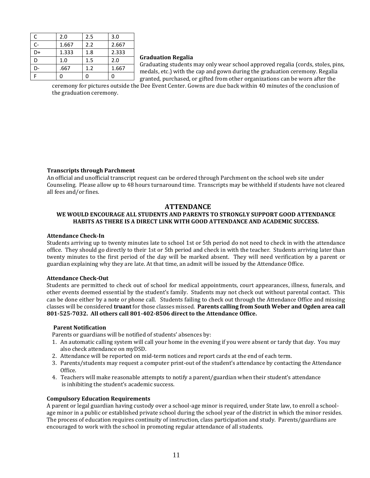| С  | 2.0   | 2.5 | 3.0   |
|----|-------|-----|-------|
| C- | 1.667 | 2.2 | 2.667 |
| D+ | 1.333 | 1.8 | 2.333 |
| D  | 1.0   | 1.5 | 2.0   |
| D- | .667  | 1.2 | 1.667 |
|    |       |     |       |

## **Graduation Regalia**

Graduating students may only wear school approved regalia (cords, stoles, pins, medals, etc.) with the cap and gown during the graduation ceremony. Regalia granted, purchased, or gifted from other organizations can be worn after the

ceremony for pictures outside the Dee Event Center. Gowns are due back within 40 minutes of the conclusion of the graduation ceremony.

# **Transcripts through Parchment**

An official and unofficial transcript request can be ordered through Parchment on the school web site under Counseling. Please allow up to 48 hours turnaround time. Transcripts may be withheld if students have not cleared all fees and/or fines.

# **ATTENDANCE**

# **WE WOULD ENCOURAGE ALL STUDENTS AND PARENTS TO STRONGLY SUPPORT GOOD ATTENDANCE HABITS AS THERE IS A DIRECT LINK WITH GOOD ATTENDANCE AND ACADEMIC SUCCESS.**

# **Attendance Check-In**

Students arriving up to twenty minutes late to school 1st or 5th period do not need to check in with the attendance office. They should go directly to their 1st or 5th period and check in with the teacher. Students arriving later than twenty minutes to the first period of the day will be marked absent. They will need verification by a parent or guardian explaining why they are late. At that time, an admit will be issued by the Attendance Office.

# **Attendance Check-Out**

Students are permitted to check out of school for medical appointments, court appearances, illness, funerals, and other events deemed essential by the student's family. Students may not check out without parental contact. This can be done either by a note or phone call. Students failing to check out through the Attendance Office and missing classes will be considered **truant** for those classes missed. **Parents calling from South Weber and Ogden area call 801-525-7032. All others call 801-402-8506 direct to the Attendance Office.**

# **Parent Notification**

Parents or guardians will be notified of students' absences by:

- 1. An automatic calling system will call your home in the evening if you were absent or tardy that day. You may also check attendance on myDSD.
- 2. Attendance will be reported on mid-term notices and report cards at the end of each term.
- 3. Parents/students may request a computer print-out of the student's attendance by contacting the Attendance Office.
- 4. Teachers will make reasonable attempts to notify a parent/guardian when their student's attendance is inhibiting the student's academic success.

# **Compulsory Education Requirements**

A parent or legal guardian having custody over a school-age minor is required, under State law, to enroll a schoolage minor in a public or established private school during the school year of the district in which the minor resides. The process of education requires continuity of instruction, class participation and study. Parents/guardians are encouraged to work with the school in promoting regular attendance of all students.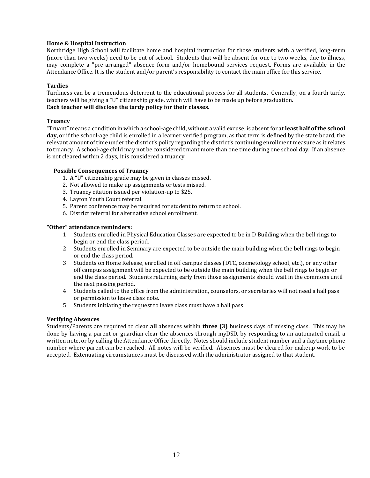# **Home & Hospital Instruction**

Northridge High School will facilitate home and hospital instruction for those students with a verified, long-term (more than two weeks) need to be out of school. Students that will be absent for one to two weeks, due to illness, may complete a "pre-arranged" absence form and/or homebound services request. Forms are available in the Attendance Office. It is the student and/or parent's responsibility to contact the main office for this service.

# **Tardies**

Tardiness can be a tremendous deterrent to the educational process for all students. Generally, on a fourth tardy, teachers will be giving a "U" citizenship grade, which will have to be made up before graduation. **Each teacher will disclose the tardy policy for their classes.** 

# **Truancy**

"Truant" means a condition in which a school-age child, without a valid excuse, is absent for at **least half of the school day**, or if the school-age child is enrolled in a learner verified program, as that term is defined by the state board, the relevant amount of time under the district's policy regarding the district's continuing enrollment measure as it relates to truancy. A school-age child may not be considered truant more than one time during one school day. If an absence is not cleared within 2 days, it is considered a truancy.

# **Possible Consequences of Truancy**

- 1. A "U" citizenship grade may be given in classes missed.
- 2. Not allowed to make up assignments or tests missed.
- 3. Truancy citation issued per violation-up to \$25.
- 4. Layton Youth Court referral.
- 5. Parent conference may be required for student to return to school.
- 6. District referral for alternative school enrollment.

# **"Other" attendance reminders:**

- 1. Students enrolled in Physical Education Classes are expected to be in D Building when the bell rings to begin or end the class period.
- 2. Students enrolled in Seminary are expected to be outside the main building when the bell rings to begin or end the class period.
- 3. Students on Home Release, enrolled in off campus classes (DTC, cosmetology school, etc.), or any other off campus assignment will be expected to be outside the main building when the bell rings to begin or end the class period. Students returning early from those assignments should wait in the commons until the next passing period.
- 4. Students called to the office from the administration, counselors, or secretaries will not need a hall pass or permission to leave class note.
- 5. Students initiating the request to leave class must have a hall pass.

# **Verifying Absences**

Students/Parents are required to clear **all** absences within **three (3)** business days of missing class. This may be done by having a parent or guardian clear the absences through myDSD, by responding to an automated email, a written note, or by calling the Attendance Office directly. Notes should include student number and a daytime phone number where parent can be reached. All notes will be verified. Absences must be cleared for makeup work to be accepted. Extenuating circumstances must be discussed with the administrator assigned to that student.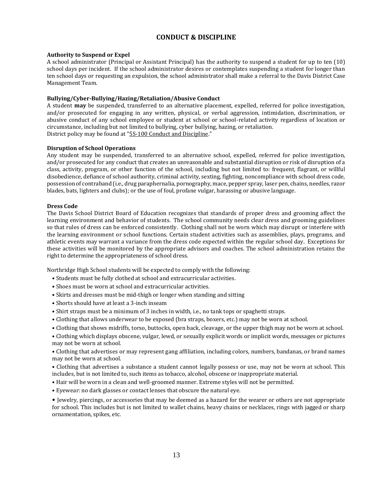# **CONDUCT & DISCIPLINE**

# **Authority to Suspend or Expel**

A school administrator (Principal or Assistant Principal) has the authority to suspend a student for up to ten (10) school days per incident. If the school administrator desires or contemplates suspending a student for longer than ten school days or requesting an expulsion, the school administrator shall make a referral to the Davis District Case Management Team.

# **Bullying/Cyber-Bullying/Hazing/Retaliation/Abusive Conduct**

A student **may** be suspended, transferred to an alternative placement, expelled, referred for police investigation, and/or prosecuted for engaging in any written, physical, or verbal aggression, intimidation, discrimination, or abusive conduct of any school employee or student at school or school-related activity regardless of location or circumstance, including but not limited to bullying, cyber bullying, hazing, or retaliation. District policy may be found at "5S-100 Conduct and Discipline."

# **Disruption of School Operations**

Any student may be suspended, transferred to an alternative school, expelled, referred for police investigation, and/or prosecuted for any conduct that creates an unreasonable and substantial disruption or risk of disruption of a class, activity, program, or other function of the school, including but not limited to: frequent, flagrant, or willful disobedience, defiance of school authority, criminal activity, sexting, fighting, noncompliance with school dress code, possession of contraband (i.e., drug paraphernalia, pornography, mace, pepper spray, laser pen, chains, needles, razor blades, bats, lighters and clubs); or the use of foul, profane vulgar, harassing or abusive language.

# **Dress Code**

The Davis School District Board of Education recognizes that standards of proper dress and grooming affect the learning environment and behavior of students. The school community needs clear dress and grooming guidelines so that rules of dress can be enforced consistently. Clothing shall not be worn which may disrupt or interfere with the learning environment or school functions. Certain student activities such as assemblies, plays, programs, and athletic events may warrant a variance from the dress code expected within the regular school day. Exceptions for these activities will be monitored by the appropriate advisors and coaches. The school administration retains the right to determine the appropriateness of school dress.

Northridge High School students will be expected to comply with the following:

- Students must be fully clothed at school and extracurricular activities.
- Shoes must be worn at school and extracurricular activities.
- Skirts and dresses must be mid-thigh or longer when standing and sitting
- Shorts should have at least a 3-inch inseam
- Shirt straps must be a minimum of 3 inches in width, i.e., no tank tops or spaghetti straps.
- Clothing that allows underwear to be exposed (bra straps, boxers, etc.) may not be worn at school.
- Clothing that shows midriffs, torso, buttocks, open back, cleavage, or the upper thigh may not be worn at school.

• Clothing which displays obscene, vulgar, lewd, or sexually explicit words or implicit words, messages or pictures may not be worn at school.

• Clothing that advertises or may represent gang affiliation, including colors, numbers, bandanas, or brand names may not be worn at school.

• Clothing that advertises a substance a student cannot legally possess or use, may not be worn at school. This includes, but is not limited to, such items as tobacco, alcohol, obscene or inappropriate material.

- Hair will be worn in a clean and well-groomed manner. Extreme styles will not be permitted.
- Eyewear: no dark glasses or contact lenses that obscure the natural eye.

• Jewelry, piercings, or accessories that may be deemed as a hazard for the wearer or others are not appropriate for school. This includes but is not limited to wallet chains, heavy chains or necklaces, rings with jagged or sharp ornamentation, spikes, etc.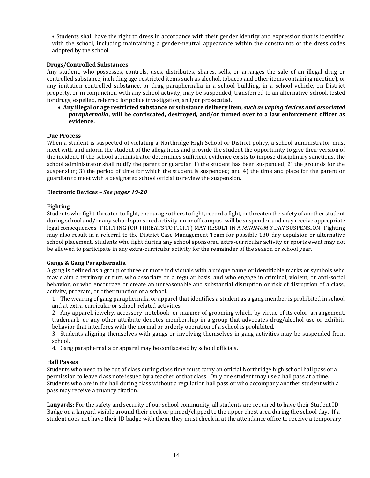• Students shall have the right to dress in accordance with their gender identity and expression that is identified with the school, including maintaining a gender-neutral appearance within the constraints of the dress codes adopted by the school.

# **Drugs/Controlled Substances**

Any student, who possesses, controls, uses, distributes, shares, sells, or arranges the sale of an illegal drug or controlled substance, including age-restricted items such as alcohol, tobacco and other items containing nicotine), or any imitation controlled substance, or drug paraphernalia in a school building, in a school vehicle, on District property, or in conjunction with any school activity, may be suspended, transferred to an alternative school, tested for drugs, expelled, referred for police investigation, and/or prosecuted.

• **Any illegal or age restricted substance or substance delivery item,** *such as vaping devices and associated paraphernalia***, will be confiscated, destroyed, and/or turned over to a law enforcement officer as evidence.**

# **Due Process**

When a student is suspected of violating a Northridge High School or District policy, a school administrator must meet with and inform the student of the allegations and provide the student the opportunity to give their version of the incident. If the school administrator determines sufficient evidence exists to impose disciplinary sanctions, the school administrator shall notify the parent or guardian 1) the student has been suspended; 2) the grounds for the suspension; 3) the period of time for which the student is suspended; and 4) the time and place for the parent or guardian to meet with a designated school official to review the suspension.

# **Electronic Devices –** *See pages 19-20*

# **Fighting**

Students who fight, threaten to fight, encourage others to fight, record a fight, or threaten the safety of another student during school and/or any school sponsored activity-on or off campus- will be suspended and may receive appropriate legal consequences. FIGHTING (OR THREATS TO FIGHT) MAY RESULT IN A *MINIMUM 3* DAY SUSPENSION. Fighting may also result in a referral to the District Case Management Team for possible 180-day expulsion or alternative school placement. Students who fight during any school sponsored extra-curricular activity or sports event may not be allowed to participate in any extra-curricular activity for the remainder of the season or school year.

# **Gangs & Gang Paraphernalia**

A gang is defined as a group of three or more individuals with a unique name or identifiable marks or symbols who may claim a territory or turf, who associate on a regular basis, and who engage in criminal, violent, or anti-social behavior, or who encourage or create an unreasonable and substantial disruption or risk of disruption of a class, activity, program, or other function of a school.

1. The wearing of gang paraphernalia or apparel that identifies a student as a gang member is prohibited in school and at extra-curricular or school-related activities.

2. Any apparel, jewelry, accessory, notebook, or manner of grooming which, by virtue of its color, arrangement, trademark, or any other attribute denotes membership in a group that advocates drug/alcohol use or exhibits behavior that interferes with the normal or orderly operation of a school is prohibited.

3. Students aligning themselves with gangs or involving themselves in gang activities may be suspended from school.

4. Gang paraphernalia or apparel may be confiscated by school officials.

# **Hall Passes**

Students who need to be out of class during class time must carry an official Northridge high school hall pass or a permission to leave class note issued by a teacher of that class. Only one student may use a hall pass at a time. Students who are in the hall during class without a regulation hall pass or who accompany another student with a pass may receive a truancy citation.

**Lanyards:** For the safety and security of our school community, all students are required to have their Student ID Badge on a lanyard visible around their neck or pinned/clipped to the upper chest area during the school day. If a student does not have their ID badge with them, they must check in at the attendance office to receive a temporary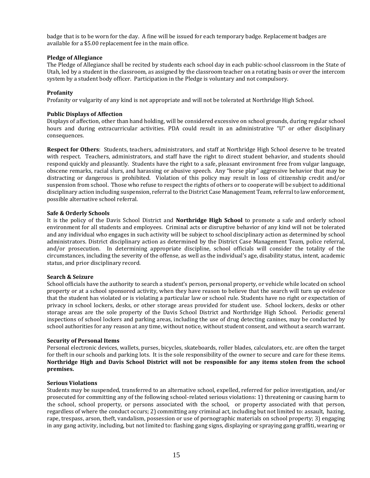badge that is to be worn for the day. A fine will be issued for each temporary badge. Replacement badges are available for a \$5.00 replacement fee in the main office.

# **Pledge of Allegiance**

The Pledge of Allegiance shall be recited by students each school day in each public-school classroom in the State of Utah, led by a student in the classroom, as assigned by the classroom teacher on a rotating basis or over the intercom system by a student body officer. Participation in the Pledge is voluntary and not compulsory.

# **Profanity**

Profanity or vulgarity of any kind is not appropriate and will not be tolerated at Northridge High School.

# **Public Displays of Affection**

Displays of affection, other than hand holding, will be considered excessive on school grounds, during regular school hours and during extracurricular activities. PDA could result in an administrative "U" or other disciplinary consequences.

**Respect for Others**: Students, teachers, administrators, and staff at Northridge High School deserve to be treated with respect. Teachers, administrators, and staff have the right to direct student behavior, and students should respond quickly and pleasantly. Students have the right to a safe, pleasant environment free from vulgar language, obscene remarks, racial slurs, and harassing or abusive speech. Any "horse play" aggressive behavior that may be distracting or dangerous is prohibited. Violation of this policy may result in loss of citizenship credit and/or suspension from school. Those who refuse to respect the rights of others or to cooperate will be subject to additional disciplinary action including suspension, referral to the District Case Management Team, referral to law enforcement, possible alternative school referral.

# **Safe & Orderly Schools**

It is the policy of the Davis School District and **Northridge High School** to promote a safe and orderly school environment for all students and employees. Criminal acts or disruptive behavior of any kind will not be tolerated and any individual who engages in such activity will be subject to school disciplinary action as determined by school administrators. District disciplinary action as determined by the District Case Management Team, police referral, and/or prosecution. In determining appropriate discipline, school officials will consider the totality of the circumstances, including the severity of the offense, as well as the individual's age, disability status, intent, academic status, and prior disciplinary record.

# **Search & Seizure**

School officials have the authority to search a student's person, personal property, or vehicle while located on school property or at a school sponsored activity, when they have reason to believe that the search will turn up evidence that the student has violated or is violating a particular law or school rule. Students have no right or expectation of privacy in school lockers, desks, or other storage areas provided for student use. School lockers, desks or other storage areas are the sole property of the Davis School District and Northridge High School. Periodic general inspections of school lockers and parking areas, including the use of drug detecting canines, may be conducted by school authorities for any reason at any time, without notice, without student consent, and without a search warrant.

# **Security of Personal Items**

Personal electronic devices, wallets, purses, bicycles, skateboards, roller blades, calculators, etc. are often the target for theft in our schools and parking lots. It is the sole responsibility of the owner to secure and care for these items. **Northridge High and Davis School District will not be responsible for any items stolen from the school premises.**

# **Serious Violations**

Students may be suspended, transferred to an alternative school, expelled, referred for police investigation, and/or prosecuted for committing any of the following school-related serious violations: 1) threatening or causing harm to the school, school property, or persons associated with the school, or property associated with that person, regardless of where the conduct occurs; 2) committing any criminal act, including but not limited to: assault, hazing, rape, trespass, arson, theft, vandalism, possession or use of pornographic materials on school property; 3) engaging in any gang activity, including, but not limited to: flashing gang signs, displaying or spraying gang graffiti, wearing or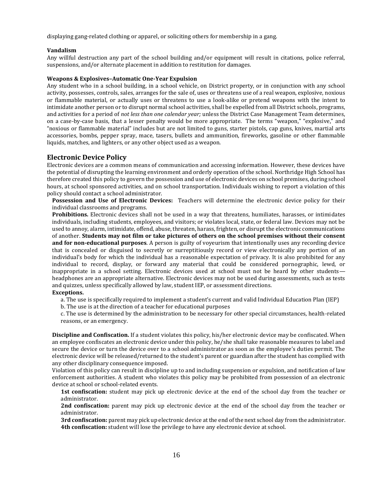displaying gang-related clothing or apparel, or soliciting others for membership in a gang.

# **Vandalism**

Any willful destruction any part of the school building and/or equipment will result in citations, police referral, suspensions, and/or alternate placement in addition to restitution for damages.

# **Weapons & Explosives–Automatic One-Year Expulsion**

Any student who in a school building, in a school vehicle, on District property, or in conjunction with any school activity, possesses, controls, sales, arranges for the sale of, uses or threatens use of a real weapon, explosive, noxious or flammable material, or actually uses or threatens to use a look-alike or pretend weapons with the intent to intimidate another person or to disrupt normal school activities, shall be expelled from all District schools, programs, and activities for a period of *not less than one calendar year;* unless the District Case Management Team determines, on a case-by-case basis, that a lesser penalty would be more appropriate. The terms "weapon," "explosive," and "noxious or flammable material" includes but are not limited to guns, starter pistols, cap guns, knives, martial arts accessories, bombs, pepper spray, mace, tasers, bullets and ammunition, fireworks, gasoline or other flammable liquids, matches, and lighters, or any other object used as a weapon.

# **Electronic Device Policy**

Electronic devices are a common means of communication and accessing information. However, these devices have the potential of disrupting the learning environment and orderly operation of the school. Northridge High School has therefore created this policy to govern the possession and use of electronic devices on school premises, during school hours, at school sponsored activities, and on school transportation. Individuals wishing to report a violation of this policy should contact a school administrator.

**Possession and Use of Electronic Devices:** Teachers will determine the electronic device policy for their individual classrooms and programs.

**Prohibitions.** Electronic devices shall not be used in a way that threatens, humiliates, harasses, or intimidates individuals, including students, employees, and visitors; or violates local, state, or federal law. Devices may not be used to annoy, alarm, intimidate, offend, abuse, threaten, harass, frighten, or disrupt the electronic communications of another. **Students may not film or take pictures of others on the school premises without their consent and for non-educational purposes**. A person is guilty of voyeurism that intentionally uses any recording device that is concealed or disguised to secretly or surreptitiously record or view electronically any portion of an individual's body for which the individual has a reasonable expectation of privacy. It is also prohibited for any individual to record, display, or forward any material that could be considered pornographic, lewd, or inappropriate in a school setting. Electronic devices used at school must not be heard by other students headphones are an appropriate alternative. Electronic devices may not be used during assessments, such as tests and quizzes, unless specifically allowed by law, student IEP, or assessment directions.

# **Exceptions.**

a. The use is specifically required to implement a student's current and valid Individual Education Plan (IEP)

b. The use is at the direction of a teacher for educational purposes

c. The use is determined by the administration to be necessary for other special circumstances, health-related reasons, or an emergency.

**Discipline and Confiscation.** If a student violates this policy, his/her electronic device may be confiscated. When an employee confiscates an electronic device under this policy, he/she shall take reasonable measures to label and secure the device or turn the device over to a school administrator as soon as the employee's duties permit. The electronic device will be released/returned to the student's parent or guardian after the student has complied with any other disciplinary consequence imposed.

Violation of this policy can result in discipline up to and including suspension or expulsion, and notification of law enforcement authorities. A student who violates this policy may be prohibited from possession of an electronic device at school or school-related events.

**1st confiscation:** student may pick up electronic device at the end of the school day from the teacher or administrator.

**2nd confiscation:** parent may pick up electronic device at the end of the school day from the teacher or administrator.

**3rd confiscation:** parent may pick up electronic device at the end of the next school day from the administrator. **4th confiscation:** student will lose the privilege to have any electronic device at school.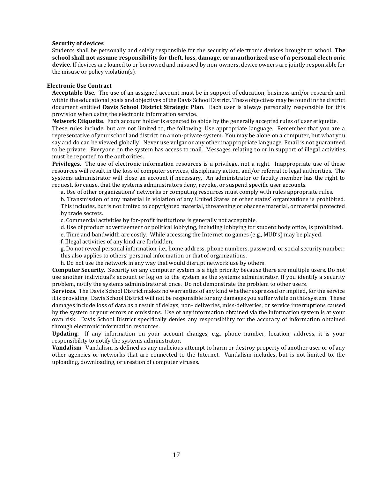# **Security of devices**

Students shall be personally and solely responsible for the security of electronic devices brought to school. **The school shall not assume responsibility for theft, loss, damage, or unauthorized use of a personal electronic device.** If devices are loaned to or borrowed and misused by non-owners, device owners are jointly responsible for the misuse or policy violation(s).

# **Electronic Use Contract**

**Acceptable Use**. The use of an assigned account must be in support of education, business and/or research and within the educational goals and objectives of the Davis School District. These objectives may be found in the district document entitled **Davis School District Strategic Plan**. Each user is always personally responsible for this provision when using the electronic information service.

**Network Etiquette.** Each account holder is expected to abide by the generally accepted rules of user etiquette.

These rules include, but are not limited to, the following: Use appropriate language. Remember that you are a representative of your school and district on a non-private system. You may be alone on a computer, but what you say and do can be viewed globally! Never use vulgar or any other inappropriate language. Email is not guaranteed to be private. Everyone on the system has access to mail. Messages relating to or in support of illegal activities must be reported to the authorities.

**Privileges**. The use of electronic information resources is a privilege, not a right. Inappropriate use of these resources will result in the loss of computer services, disciplinary action, and/or referral to legal authorities. The systems administrator will close an account if necessary. An administrator or faculty member has the right to request, for cause, that the systems administrators deny, revoke, or suspend specific user accounts.

a. Use of other organizations' networks or computing resources must comply with rules appropriate rules.

b. Transmission of any material in violation of any United States or other states' organizations is prohibited. This includes, but is not limited to copyrighted material, threatening or obscene material, or material protected by trade secrets.

c. Commercial activities by for-profit institutions is generally not acceptable.

d. Use of product advertisement or political lobbying, including lobbying for student body office, is prohibited.

e. Time and bandwidth are costly. While accessing the Internet no games (e.g., MUD's) may be played.

f. Illegal activities of any kind are forbidden.

g. Do not reveal personal information, i.e., home address, phone numbers, password, or social security number; this also applies to others' personal information or that of organizations.

h. Do not use the network in any way that would disrupt network use by others.

**Computer Security**. Security on any computer system is a high priority because there are multiple users. Do not use another individual's account or log on to the system as the systems administrator. If you identify a security problem, notify the systems administrator at once. Do not demonstrate the problem to other users.

**Services**. The Davis School District makes no warranties of any kind whether expressed or implied, for the service it is providing. Davis School District will not be responsible for any damages you suffer while on this system. These damages include loss of data as a result of delays, non- deliveries, miss-deliveries, or service interruptions caused by the system or your errors or omissions. Use of any information obtained via the information system is at your own risk. Davis School District specifically denies any responsibility for the accuracy of information obtained through electronic information resources.

**Updating**. If any information on your account changes, e.g., phone number, location, address, it is your responsibility to notify the systems administrator.

**Vandalism**. Vandalism is defined as any malicious attempt to harm or destroy property of another user or of any other agencies or networks that are connected to the Internet. Vandalism includes, but is not limited to, the uploading, downloading, or creation of computer viruses.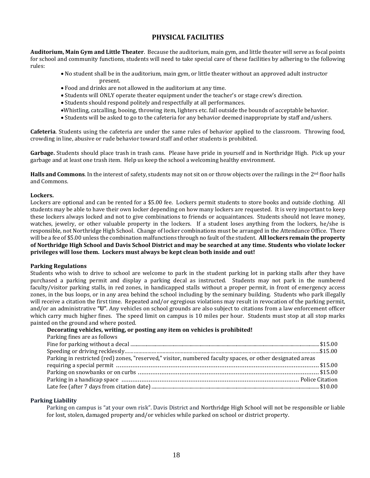# **PHYSICAL FACILITIES**

**Auditorium, Main Gym and Little Theater**. Because the auditorium, main gym, and little theater will serve as focal points for school and community functions, students will need to take special care of these facilities by adhering to the following rules:

- No student shall be in the auditorium, main gym, or little theater without an approved adult instructor present.
- Food and drinks are not allowed in the auditorium at any time.
- Students will ONLY operate theater equipment under the teacher's or stage crew's direction.
- Students should respond politely and respectfully at all performances.
- •Whistling, catcalling, booing, throwing item, lighters etc. fall outside the bounds of acceptable behavior.
- Students will be asked to go to the cafeteria for any behavior deemed inappropriate by staff and/ushers.

**Cafeteria**. Students using the cafeteria are under the same rules of behavior applied to the classroom. Throwing food, crowding in line, abusive or rude behavior toward staff and other students is prohibited.

**Garbage.** Students should place trash in trash cans. Please have pride in yourself and in Northridge High. Pick up your garbage and at least one trash item. Help us keep the school a welcoming healthy environment.

**Halls and Commons**. In the interest of safety, students may not sit on or throw objects over the railings in the 2<sup>nd</sup> floor halls and Commons.

# **Lockers.**

Lockers are optional and can be rented for a \$5.00 fee. Lockers permit students to store books and outside clothing. All students may be able to have their own locker depending on how many lockers are requested. It is very important to keep these lockers always locked and not to give combinations to friends or acquaintances. Students should not leave money, watches, jewelry, or other valuable property in the lockers. If a student loses anything from the lockers, he/she is responsible, not Northridge High School. Change of locker combinations must be arranged in the Attendance Office. There will be a fee of \$5.00 unless the combination malfunctions through no fault of the student. **All lockers remain the property of Northridge High School and Davis School District and may be searched at any time. Students who violate locker privileges will lose them. Lockers must always be kept clean both inside and out!**

# **Parking Regulations**

Students who wish to drive to school are welcome to park in the student parking lot in parking stalls after they have purchased a parking permit and display a parking decal as instructed. Students may not park in the numbered faculty/visitor parking stalls, in red zones, in handicapped stalls without a proper permit, in front of emergency access zones, in the bus loops, or in any area behind the school including by the seminary building. Students who park illegally will receive a citation the first time. Repeated and/or egregious violations may result in revocation of the parking permit, and/or an administrative **"U"**. Any vehicles on school grounds are also subject to citations from a law enforcement officer which carry much higher fines. The speed limit on campus is 10 miles per hour. Students must stop at all stop marks painted on the ground and where posted.

# **Decorating vehicles, writing, or posting any item on vehicles is prohibited!**

| Parking fines are as follows                                                                               |  |
|------------------------------------------------------------------------------------------------------------|--|
|                                                                                                            |  |
|                                                                                                            |  |
| Parking in restricted (red) zones, "reserved," visitor, numbered faculty spaces, or other designated areas |  |
|                                                                                                            |  |
|                                                                                                            |  |
|                                                                                                            |  |
|                                                                                                            |  |

# **Parking Liability**

Parking on campus is "at your own risk". Davis District and Northridge High School will not be responsible or liable for lost, stolen, damaged property and/or vehicles while parked on school or district property.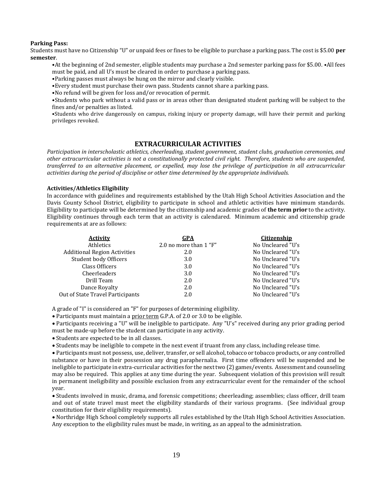# **Parking Pass:**

Students must have no Citizenship "U" or unpaid fees or fines to be eligible to purchase a parking pass. The cost is \$5.00 **per semester**.

•At the beginning of 2nd semester, eligible students may purchase a 2nd semester parking pass for \$5.00. •All fees must be paid, and all U's must be cleared in order to purchase a parking pass.

- •Parking passes must always be hung on the mirror and clearly visible.
- •Every student must purchase their own pass. Students cannot share a parking pass.
- •No refund will be given for loss and/or revocation of permit.

•Students who park without a valid pass or in areas other than designated student parking will be subject to the fines and/or penalties as listed.

•Students who drive dangerously on campus, risking injury or property damage, will have their permit and parking privileges revoked.

# **EXTRACURRICULAR ACTIVITIES**

*Participation in interscholastic athletics, cheerleading, student government, student clubs, graduation ceremonies, and other extracurricular activities is not a constitutionally protected civil right. Therefore, students who are suspended, transferred to an alternative placement, or expelled, may lose the privilege of participation in all extracurricular activities during the period of discipline or other time determined by the appropriate individuals.*

# **Activities/Athletics Eligibility**

In accordance with guidelines and requirements established by the Utah High School Activities Association and the Davis County School District, eligibility to participate in school and athletic activities have minimum standards. Eligibility to participate will be determined by the citizenship and academic grades of **the term prior** to the activity. Eligibility continues through each term that an activity is calendared. Minimum academic and citizenship grade requirements at are as follows:

| GPA                    | <b>Citizenship</b> |
|------------------------|--------------------|
| 2.0 no more than 1 "F" | No Uncleared "U's  |
| 2.0                    | No Uncleared "U's  |
| 3.0                    | No Uncleared "U's  |
| 3.0                    | No Uncleared "U's  |
| 3.0                    | No Uncleared "U's  |
| 2.0                    | No Uncleared "U's  |
| 2.0                    | No Uncleared "U's  |
| 2.0                    | No Uncleared "U's  |
|                        |                    |

A grade of "I" is considered an "F" for purposes of determining eligibility.

• Participants must maintain a prior term G.P.A. of 2.0 or 3.0 to be eligible.

• Participants receiving a "U" will be ineligible to participate. Any "U's" received during any prior grading period must be made-up before the student can participate in any activity.

• Students are expected to be in all classes.

• Students may be ineligible to compete in the next event if truant from any class, including release time.

• Participants must not possess, use, deliver, transfer, or sell alcohol, tobacco or tobacco products, or any controlled substance or have in their possession any drug paraphernalia. First time offenders will be suspended and be ineligible to participate in extra-curricular activities for the next two (2) games/events. Assessment and counseling may also be required. This applies at any time during the year. Subsequent violation of this provision will result in permanent ineligibility and possible exclusion from any extracurricular event for the remainder of the school year.

• Students involved in music, drama, and forensic competitions; cheerleading; assemblies; class officer, drill team and out of state travel must meet the eligibility standards of their various programs. (See individual group constitution for their eligibility requirements).

• Northridge High School completely supports all rules established by the Utah High School Activities Association. Any exception to the eligibility rules must be made, in writing, as an appeal to the administration.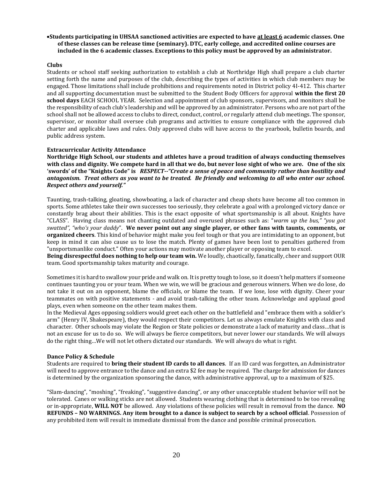# •**Students participating in UHSAA sanctioned activities are expected to have at least 6 academic classes. One of these classes can be release time (seminary). DTC, early college, and accredited online courses are included in the 6 academic classes. Exceptions to this policy must be approved by an administrator.**

# **Clubs**

Students or school staff seeking authorization to establish a club at Northridge High shall prepare a club charter setting forth the name and purposes of the club, describing the types of activities in which club members may be engaged. Those limitations shall include prohibitions and requirements noted in District policy 4I-412. This charter and all supporting documentation must be submitted to the Student Body Officers for approval **within the first 20 school days** EACH SCHOOL YEAR. Selection and appointment of club sponsors, supervisors, and monitors shall be the responsibility of each club's leadership and will be approved by an administrator. Persons who are not part of the school shall not be allowed access to clubs to direct, conduct, control, or regularly attend club meetings. The sponsor, supervisor, or monitor shall oversee club programs and activities to ensure compliance with the approved club charter and applicable laws and rules. Only approved clubs will have access to the yearbook, bulletin boards, and public address system.

# **Extracurricular Activity Attendance**

**Northridge High School, our students and athletes have a proud tradition of always conducting themselves with class and dignity. We compete hard in all that we do, but never lose sight of who we are. One of the six 'swords' of the "Knights Code" is** *RESPECT--"Create a sense of peace and community rather than hostility and antagonism. Treat others as you want to be treated. Be friendly and welcoming to all who enter our school. Respect others and yourself."*

Taunting, trash-talking, gloating, showboating, a lack of character and cheap shots have become all too common in sports. Some athletes take their own successes too seriously, they celebrate a goal with a prolonged victory dance or constantly brag about their abilities. This is the exact opposite of what sportsmanship is all about. Knights have "CLASS". Having class means not chanting outdated and overused phrases such as: "*warm up the bus," "you got swatted", "who's your daddy*". **We never point out any single player, or other fans with taunts, comments, or organized cheers**. This kind of behavior might make you feel tough or that you are intimidating to an opponent, but keep in mind it can also cause us to lose the match. Plenty of games have been lost to penalties gathered from "unsportsmanlike conduct." Often your actions may motivate another player or opposing team to excel.

**Being disrespectful does nothing to help our team win.** We loudly, chaotically, fanatically, cheer and support OUR team. Good sportsmanship takes maturity and courage.

Sometimes it is hard to swallow your pride and walk on. It is pretty tough to lose, so it doesn't help matters if someone continues taunting you or your team. When we win, we will be gracious and generous winners. When we do lose, do not take it out on an opponent, blame the officials, or blame the team. If we lose, lose with dignity. Cheer your teammates on with positive statements - and avoid trash-talking the other team. Acknowledge and applaud good plays, even when someone on the other team makes them.

In the Medieval Ages opposing soldiers would greet each other on the battlefield and "embrace them with a soldier's arm" (Henry IV, Shakespeare), they would respect their competitors. Let us always emulate Knights with class and character. Other schools may violate the Region or State policies or demonstrate a lack of maturity and class…that is not an excuse for us to do so. We will always be fierce competitors, but never lower our standards. We will always do the right thing…We will not let others dictated our standards. We will always do what is right.

# **Dance Policy & Schedule**

Students are required to **bring their student ID cards to all dances**. If an ID card was forgotten, an Administrator will need to approve entrance to the dance and an extra \$2 fee may be required. The charge for admission for dances is determined by the organization sponsoring the dance, with administrative approval, up to a maximum of \$25.

"Slam-dancing", "moshing", "freaking", "suggestive dancing", or any other unacceptable student behavior will not be tolerated. Canes or walking sticks are not allowed. Students wearing clothing that is determined to be too revealing or in-appropriate, **WILL NOT** be allowed. Any violations of these policies will result in removal from the dance. **NO REFUNDS – NO WARNINGS. Any item brought to a dance is subject to search by a school official**. Possession of any prohibited item will result in immediate dismissal from the dance and possible criminal prosecution.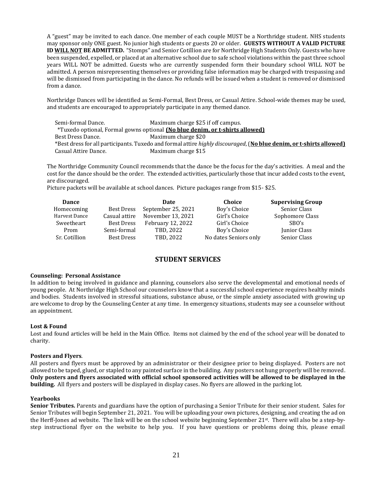A "guest" may be invited to each dance. One member of each couple MUST be a Northridge student. NHS students may sponsor only ONE guest. No junior high students or guests 20 or older. **GUESTS WITHOUT A VALID PICTURE ID WILL NOT BE ADMITTED.** "Stomps" and Senior Cotillion are for Northridge High Students Only. Guests who have been suspended, expelled, or placed at an alternative school due to safe school violations within the past three school years WILL NOT be admitted. Guests who are currently suspended form their boundary school WILL NOT be admitted. A person misrepresenting themselves or providing false information may be charged with trespassing and will be dismissed from participating in the dance. No refunds will be issued when a student is removed or dismissed from a dance.

Northridge Dances will be identified as Semi-Formal, Best Dress, or Casual Attire. School-wide themes may be used, and students are encouraged to appropriately participate in any themed dance.

| Semi-formal Dance.   | Maximum charge \$25 if off campus.                                                                                          |
|----------------------|-----------------------------------------------------------------------------------------------------------------------------|
|                      | *Tuxedo optional, Formal gowns optional (No blue denim, or t-shirts allowed)                                                |
| Best Dress Dance.    | Maximum charge \$20                                                                                                         |
|                      | *Best dress for all participants. Tuxedo and formal attire <i>highly discouraged</i> , (No blue denim, or t-shirts allowed) |
| Casual Attire Dance. | Maximum charge \$15                                                                                                         |

The Northridge Community Council recommends that the dance be the focus for the day's activities. A meal and the cost for the dance should be the order. The extended activities, particularly those that incur added costs to the event, are discouraged.

Picture packets will be available at school dances. Picture packages range from \$15- \$25.

| Dance         |                   | Date               | Choice                | <b>Supervising Group</b> |
|---------------|-------------------|--------------------|-----------------------|--------------------------|
| Homecoming    | <b>Best Dress</b> | September 25, 2021 | Boy's Choice          | Senior Class             |
| Harvest Dance | Casual attire     | November 13, 2021  | Girl's Choice         | Sophomore Class          |
| Sweetheart    | Best Dress        | February 12, 2022  | Girl's Choice         | SBO's                    |
| Prom          | Semi-formal       | TBD, 2022          | Boy's Choice          | Junior Class             |
| Sr. Cotillion | Best Dress        | TBD, 2022          | No dates Seniors only | Senior Class             |

# **STUDENT SERVICES**

# **Counseling: Personal Assistance**

In addition to being involved in guidance and planning, counselors also serve the developmental and emotional needs of young people. At Northridge High School our counselors know that a successful school experience requires healthy minds and bodies. Students involved in stressful situations, substance abuse, or the simple anxiety associated with growing up are welcome to drop by the Counseling Center at any time. In emergency situations, students may see a counselor without an appointment.

# **Lost & Found**

Lost and found articles will be held in the Main Office. Items not claimed by the end of the school year will be donated to charity.

# **Posters and Flyers**.

All posters and flyers must be approved by an administrator or their designee prior to being displayed. Posters are not allowed to be taped, glued, or stapled to any painted surface in the building. Any posters not hung properly will be removed. **Only posters and flyers associated with official school sponsored activities will be allowed to be displayed in the building.** All flyers and posters will be displayed in display cases. No flyers are allowed in the parking lot.

# **Yearbooks**

**Senior Tributes.** Parents and guardians have the option of purchasing a Senior Tribute for their senior student. Sales for Senior Tributes will begin September 21, 2021. You will be uploading your own pictures, designing, and creating the ad on the Herff-Jones ad website. The link will be on the school website beginning September 21st. There will also be a step-bystep instructional flyer on the website to help you. If you have questions or problems doing this, please email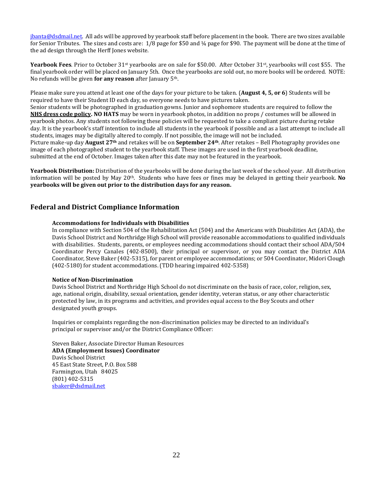[jbanta@dsdmail.net.](mailto:jbanta@dsdmail.net) All ads will be approved by yearbook staff before placement in the book. There are two sizes available for Senior Tributes. The sizes and costs are: 1/8 page for \$50 and ¼ page for \$90. The payment will be done at the time of the ad design through the Herff Jones website.

**Yearbook Fees**. Prior to October 31st yearbooks are on sale for \$50.00. After October 31st, yearbooks will cost \$55. The final yearbook order will be placed on January 5th. Once the yearbooks are sold out, no more books will be ordered. NOTE: No refunds will be given **for any reason** after January 5th.

Please make sure you attend at least one of the days for your picture to be taken. (**August 4, 5, or 6**) Students will be required to have their Student ID each day, so everyone needs to have pictures taken.

Senior students will be photographed in graduation gowns. Junior and sophomore students are required to follow the **NHS dress code policy. NO HATS** may be worn in yearbook photos, in addition no props / costumes will be allowed in yearbook photos. Any students not following these policies will be requested to take a compliant picture during retake day. It is the yearbook's staff intention to include all students in the yearbook if possible and as a last attempt to include all students, images may be digitally altered to comply. If not possible, the image will not be included.

Picture make-up day **August 27th** and retakes will be on **September 24th**. After retakes – Bell Photography provides one image of each photographed student to the yearbook staff. These images are used in the first yearbook deadline, submitted at the end of October. Images taken after this date may not be featured in the yearbook.

**Yearbook Distribution:** Distribution of the yearbooks will be done during the last week of the school year. All distribution information will be posted by May 20<sup>th</sup>. Students who have fees or fines may be delayed in getting their yearbook. **No yearbooks will be given out prior to the distribution days for any reason.** 

# **Federal and District Compliance Information**

# **Accommodations for Individuals with Disabilities**

In compliance with Section 504 of the Rehabilitation Act (504) and the Americans with Disabilities Act (ADA), the Davis School District and Northridge High School will provide reasonable accommodations to qualified individuals with disabilities. Students, parents, or employees needing accommodations should contact their school ADA/504 Coordinator Percy Canales (402-8500), their principal or supervisor, or you may contact the District ADA Coordinator, Steve Baker (402-5315), for parent or employee accommodations; or 504 Coordinator, Midori Clough (402-5180) for student accommodations. (TDD hearing impaired 402-5358)

# **Notice of Non-Discrimination**

Davis School District and Northridge High School do not discriminate on the basis of race, color, religion, sex, age, national origin, disability, sexual orientation, gender identity, veteran status, or any other characteristic protected by law, in its programs and activities, and provides equal access to the Boy Scouts and other designated youth groups.

Inquiries or complaints regarding the non-discrimination policies may be directed to an individual's principal or supervisor and/or the District Compliance Officer:

Steven Baker, Associate Director Human Resources **ADA (Employment Issues) Coordinator** Davis School District 45 East State Street, P.O. Box 588 Farmington, Utah 84025 (801) 402-5315 [sbaker@dsdmail.net](mailto:sbaker@dsdmail.net)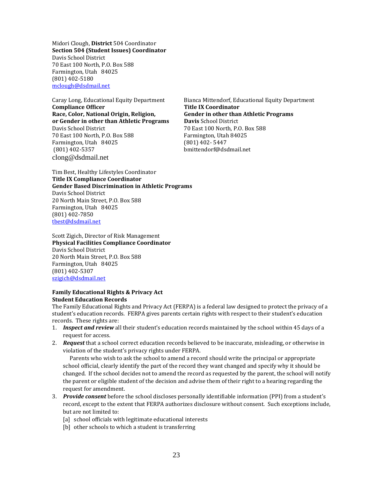Midori Clough, **District** 504 Coordinator **Section 504 (Student Issues) Coordinator** Davis School District 70 East 100 North, P.O. Box 588 Farmington, Utah 84025 (801) 402-5180 [mclough@dsdmail.net](mailto:mclough@dsdmail.net)

Caray Long, Educational Equity Department Bianca Mittendorf, Educational Equity Department **Compliance Officer Title IX Coordinator Race, Color, National Origin, Religion, Gender in other than Athletic Programs or Gender in other than Athletic Programs Davis** School District Davis School District 70 East 100 North, P.O. Box 588 70 East 100 North, P.O. Box 588 Farmington, Utah 84025 Farmington, Utah 84025 (801) 402- 5447 (801) 402-5357 bmittendorf@dsdmail.net clong@dsdmail.net

Tim Best, Healthy Lifestyles Coordinator **Title IX Compliance Coordinator Gender Based Discrimination in Athletic Programs**  Davis School District 20 North Main Street, P.O. Box 588 Farmington, Utah 84025 (801) 402-7850 [tbest@dsdmail.net](mailto:tbest@dsdmail.net)

Scott Zigich, Director of Risk Management **Physical Facilities Compliance Coordinator** Davis School District 20 North Main Street, P.O. Box 588 Farmington, Utah 84025 (801) 402-5307 [szigich@dsdmail.net](mailto:szigich@dsdmail.net)

# **Family Educational Rights & Privacy Act Student Education Records**

The Family Educational Rights and Privacy Act (FERPA) is a federal law designed to protect the privacy of a student's education records. FERPA gives parents certain rights with respect to their student's education records. These rights are:

- 1. *Inspect and review* all their student's education records maintained by the school within 45 days of a request for access.
- 2. *Request* that a school correct education records believed to be inaccurate, misleading, or otherwise in violation of the student's privacy rights under FERPA.

 Parents who wish to ask the school to amend a record should write the principal or appropriate school official, clearly identify the part of the record they want changed and specify why it should be changed. If the school decides not to amend the record as requested by the parent, the school will notify the parent or eligible student of the decision and advise them of their right to a hearing regarding the request for amendment.

- 3. *Provide consent* before the school discloses personally identifiable information (PPI) from a student's record, except to the extent that FERPA authorizes disclosure without consent. Such exceptions include, but are not limited to:
	- [a] school officials with legitimate educational interests
	- [b] other schools to which a student is transferring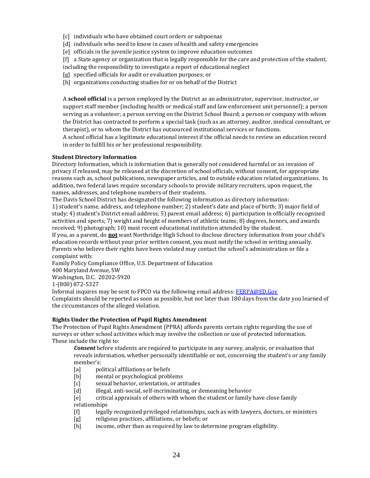- [c] individuals who have obtained court orders or subpoenas
- [d] individuals who need to know in cases of health and safety emergencies
- [e] officials in the juvenile justice system to improve education outcomes
- [f] a State agency or organization that is legally responsible for the care and protection of the student,
- including the responsibility to investigate a report of educational neglect
- [g] specified officials for audit or evaluation purposes; or
- [h] organizations conducting studies for or on behalf of the District

A **school official** is a person employed by the District as an administrator, supervisor, instructor, or support staff member (including health or medical staff and law enforcement unit personnel); a person serving as a volunteer; a person serving on the District School Board; a person or company with whom the District has contracted to perform a special task (such as an attorney, auditor, medical consultant, or therapist), or to whom the District has outsourced institutional services or functions.

A school official has a legitimate educational interest if the official needs to review an education record in order to fulfill his or her professional responsibility.

# **Student Directory Information**

Directory Information, which is information that is generally not considered harmful or an invasion of privacy if released, may be released at the discretion of school officials, without consent, for appropriate reasons such as, school publications, newspaper articles, and to outside education related organizations. In addition, two federal laws require secondary schools to provide military recruiters, upon request, the names, addresses, and telephone numbers of their students.

The Davis School District has designated the following information as directory information: 1) student's name, address, and telephone number; 2) student's date and place of birth; 3) major field of study; 4) student's District email address; 5) parent email address; 6) participation in officially recognized activities and sports; 7) weight and height of members of athletic teams; 8) degrees, honors, and awards received; 9) photograph; 10) most recent educational institution attended by the student.

If you, as a parent, do **not** want Northridge High School to disclose directory information from your child's education records without your prior written consent, you must notify the school in writing annually. Parents who believe their rights have been violated may contact the school's administration or file a complaint with:

Family Policy Compliance Office, U.S. Department of Education

400 Maryland Avenue, SW

Washington, D.C. 20202-5920

1-(800) 872-5327

Informal inquires may be sent to FPCO via the following email address[: FERPA@ED.Gov](mailto:FERPA@ED.Gov)

Complaints should be reported as soon as possible, but not later than 180 days from the date you learned of the circumstances of the alleged violation.

# **Rights Under the Protection of Pupil Rights Amendment**

The Protection of Pupil Rights Amendment (PPRA) affords parents certain rights regarding the use of surveys or other school activities which may involve the collection or use of protected information. These include the right to:

*Consent* before students are required to participate in any survey, analysis, or evaluation that reveals information, whether personally identifiable or not, concerning the student's or any family member's:

- [a] political affiliations or beliefs
- [b] mental or psychological problems
- [c] sexual behavior, orientation, or attitudes
- [d] illegal, anti-social, self-incriminating, or demeaning behavior

[e] critical appraisals of others with whom the student or family have close family relationships

- [f] legally recognized privileged relationships, such as with lawyers, doctors, or ministers
- [g] religious practices, affiliations, or beliefs; or
- [h] income, other than as required by law to determine program eligibility.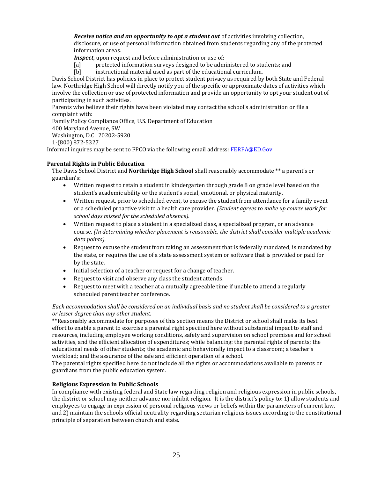*Receive notice and an opportunity to opt a student out* of activities involving collection, disclosure, or use of personal information obtained from students regarding any of the protected information areas.

*Inspect*, upon request and before administration or use of:

- [a] protected information surveys designed to be administered to students; and
- [b] instructional material used as part of the educational curriculum.

Davis School District has policies in place to protect student privacy as required by both State and Federal law. Northridge High School will directly notify you of the specific or approximate dates of activities which involve the collection or use of protected information and provide an opportunity to opt your student out of participating in such activities.

Parents who believe their rights have been violated may contact the school's administration or file a complaint with:

Family Policy Compliance Office, U.S. Department of Education

400 Maryland Avenue, SW

Washington, D.C. 20202-5920

1-(800) 872-5327

Informal inquires may be sent to FPCO via the following email address: [FERPA@ED.Gov](mailto:FERPA@ED.Gov)

# **Parental Rights in Public Education**

The Davis School District and **Northridge High School** shall reasonably accommodate \*\* a parent's or guardian's:

- Written request to retain a student in kindergarten through grade 8 on grade level based on the student's academic ability or the student's social, emotional, or physical maturity.
- Written request, prior to scheduled event, to excuse the student from attendance for a family event or a scheduled proactive visit to a health care provider. *(Student agrees to make up course work for school days missed for the scheduled absence).*
- Written request to place a student in a specialized class, a specialized program, or an advance course. *(In determining whether placement is reasonable, the district shall consider multiple academic data points).*
- Request to excuse the student from taking an assessment that is federally mandated, is mandated by the state, or requires the use of a state assessment system or software that is provided or paid for by the state.
- Initial selection of a teacher or request for a change of teacher.
- Request to visit and observe any class the student attends.
- Request to meet with a teacher at a mutually agreeable time if unable to attend a regularly scheduled parent teacher conference.

# *Each accommodation shall be considered on an individual basis and no student shall be considered to a greater or lesser degree than any other student.*

\*\*Reasonably accommodate for purposes of this section means the District or school shall make its best effort to enable a parent to exercise a parental right specified here without substantial impact to staff and resources, including employee working conditions, safety and supervision on school premises and for school activities, and the efficient allocation of expenditures; while balancing: the parental rights of parents; the educational needs of other students; the academic and behaviorally impact to a classroom; a teacher's workload; and the assurance of the safe and efficient operation of a school.

The parental rights specified here do not include all the rights or accommodations available to parents or guardians from the public education system.

# **Religious Expression in Public Schools**

In compliance with existing federal and State law regarding religion and religious expression in public schools, the district or school may neither advance nor inhibit religion. It is the district's policy to: 1) allow students and employees to engage in expression of personal religious views or beliefs within the parameters of current law, and 2) maintain the schools official neutrality regarding sectarian religious issues according to the constitutional principle of separation between church and state.